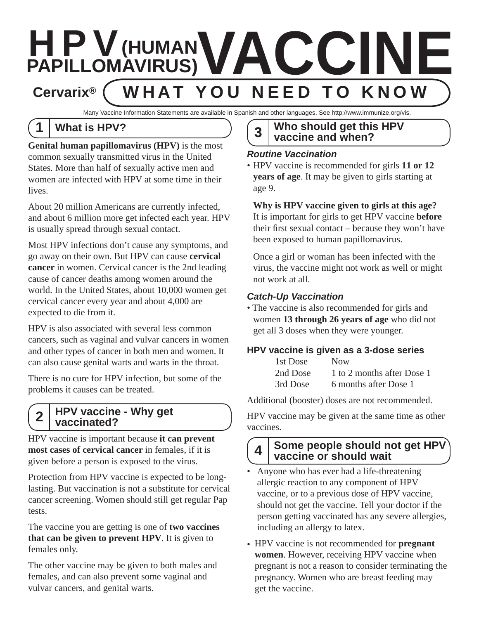

Many Vaccine Information Statements are available in Spanish and other languages. See http://www.immunize.org/vis.

# **1 What is HPV?**

**Genital human papillomavirus (HPV)** is the most common sexually transmitted virus in the United States. More than half of sexually active men and women are infected with HPV at some time in their lives.

About 20 million Americans are currently infected, and about 6 million more get infected each year. HPV is usually spread through sexual contact.

Most HPV infections don't cause any symptoms, and go away on their own. But HPV can cause **cervical cancer** in women. Cervical cancer is the 2nd leading cause of cancer deaths among women around the world. In the United States, about 10,000 women get cervical cancer every year and about 4,000 are expected to die from it.

HPV is also associated with several less common cancers, such as vaginal and vulvar cancers in women and other types of cancer in both men and women. It can also cause genital warts and warts in the throat.

There is no cure for HPV infection, but some of the problems it causes can be treated.

#### **HPV vaccine - Why get vaccinated? 2**

HPV vaccine is important because **it can prevent most cases of cervical cancer** in females, if it is given before a person is exposed to the virus.

Protection from HPV vaccine is expected to be longlasting. But vaccination is not a substitute for cervical cancer screening. Women should still get regular Pap tests.

The vaccine you are getting is one of **two vaccines that can be given to prevent HPV**. It is given to females only.

The other vaccine may be given to both males and females, and can also prevent some vaginal and vulvar cancers, and genital warts.

#### **Who should get this HPV vaccine and when? 3**

#### *Routine Vaccination*

• HPV vaccine is recommended for girls **11 or 12 years of age**. It may be given to girls starting at age 9.

#### **Why is HPV vaccine given to girls at this age?**

It is important for girls to get HPV vaccine **before** their first sexual contact – because they won't have been exposed to human papillomavirus.

Once a girl or woman has been infected with the virus, the vaccine might not work as well or might not work at all.

#### *Catch-Up Vaccination*

• The vaccine is also recommended for girls and women **13 through 26 years of age** who did not get all 3 doses when they were younger.

#### **HPV vaccine is given as a 3-dose series**

| 1st Dose | <b>Now</b>                 |
|----------|----------------------------|
| 2nd Dose | 1 to 2 months after Dose 1 |
| 3rd Dose | 6 months after Dose 1      |

Additional (booster) doses are not recommended.

HPV vaccine may be given at the same time as other vaccines.

### **Some people should not get HPV vaccine or should wait 4**

- Anyone who has ever had a life-threatening allergic reaction to any component of HPV vaccine, or to a previous dose of HPV vaccine, should not get the vaccine. Tell your doctor if the person getting vaccinated has any severe allergies, including an allergy to latex.
- HPV vaccine is not recommended for **pregnant women**. However, receiving HPV vaccine when pregnant is not a reason to consider terminating the pregnancy. Women who are breast feeding may get the vaccine.